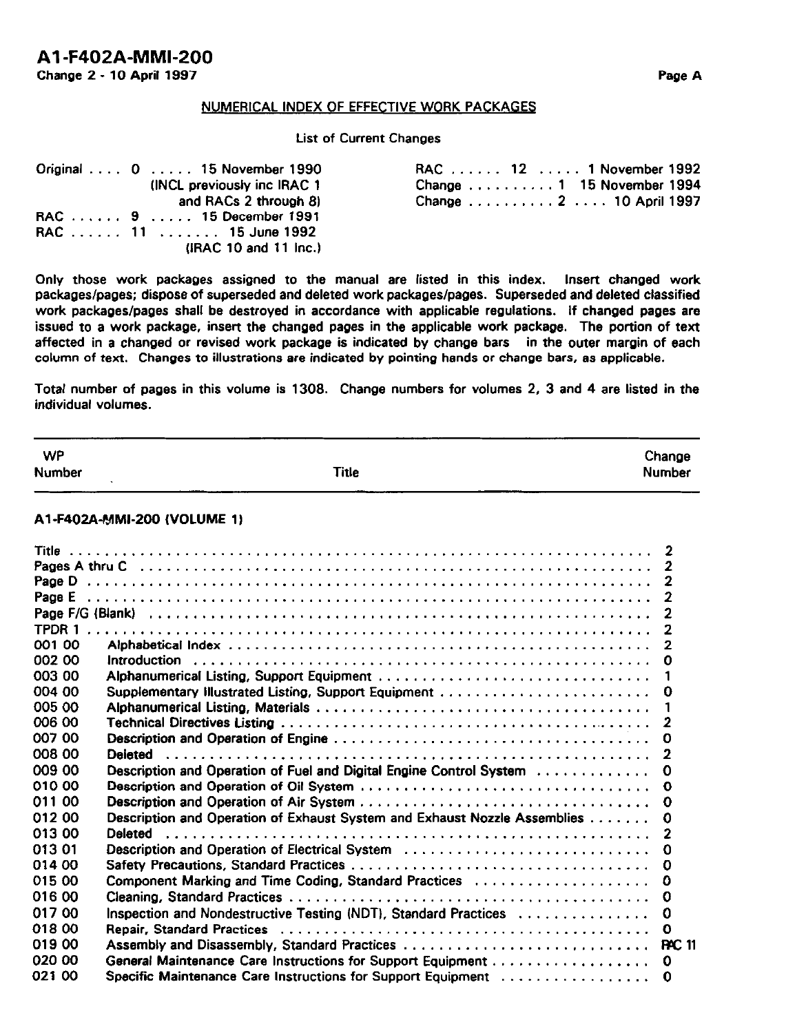#### List of Current Changes

| Original $\ldots$ 0 $\ldots$ 15 November 1990 | RAC 12 $\dots$ 1 November 1992                   |
|-----------------------------------------------|--------------------------------------------------|
| (INCL previously inc IRAC 1)                  | Change $\ldots \ldots \ldots 1$ 15 November 1994 |
| and RACs 2 through 8)                         | Change 2 10 April 1997                           |
| RAC 9 15 December 1991                        |                                                  |
| RAC  11  15 June 1992                         |                                                  |
| (IRAC 10 and 11 Inc.)                         |                                                  |

Only those work packages assigned to the manual are listed in this index. Insert changed work packages/pages; dispose of superseded and deleted work packages/pages. Superseded and deleted classified work packages/pages shall be destroyed in accordance with applicable regulations. If changed pages are issued to a work package, insert the changed pages in the applicable work package. The portion of text affected in a changed or revised work package is indicated by change bars in the outer margin of each column of text. Changes to illustrations are indicated by pointing hands or change bars, as applicable.

Total number of pages in this volume is 1306. Change numbers for volumes 2, 3 and 4 are listed in the individual volumes.

| <b>WP</b><br><b>Number</b> | <b>Title</b>                                                              | Change<br><b>Number</b>          |
|----------------------------|---------------------------------------------------------------------------|----------------------------------|
|                            | A1-F402A-MMI-200 (VOLUME 1)                                               |                                  |
|                            |                                                                           | $\overline{2}$<br>$\overline{2}$ |
| Page E                     |                                                                           | $\mathbf{2}$                     |
|                            |                                                                           | $\overline{2}$                   |
|                            |                                                                           | $\overline{2}$                   |
| 001 00                     |                                                                           | $\overline{2}$                   |
| 002 00                     |                                                                           | 0                                |
| 003 00                     |                                                                           | 1                                |
| 004 00                     | Supplementary Illustrated Listing, Support Equipment                      | 0                                |
| 005 00                     |                                                                           | 1                                |
| 006 00                     |                                                                           | $\mathbf{z}$                     |
| 007 00                     |                                                                           | 0                                |
| 008 00                     |                                                                           | $\mathbf{2}$                     |
| 009 00                     | Description and Operation of Fuel and Digital Engine Control System       | Ω                                |
| 010 00                     |                                                                           | 0                                |
| 011 00                     |                                                                           | 0                                |
| 012 00                     | Description and Operation of Exhaust System and Exhaust Nozzle Assemblies | 0                                |
| 013 00                     | <b>Deleted</b>                                                            | $\overline{2}$                   |
| 01301                      | Description and Operation of Electrical System                            | 0                                |
| 014 00                     |                                                                           | 0                                |
| 015 00                     | Component Marking and Time Coding, Standard Practices                     | ٥                                |
| 016 00                     |                                                                           | 0                                |
| 017 00                     | Inspection and Nondestructive Testing (NDT), Standard Practices           | 0                                |
| 018 00                     |                                                                           | Ω                                |
| 019 00                     |                                                                           | <b>BAC 11</b>                    |
| 020 00                     |                                                                           | 0                                |
| 021 00                     | Specific Maintenance Care Instructions for Support Equipment              | 0                                |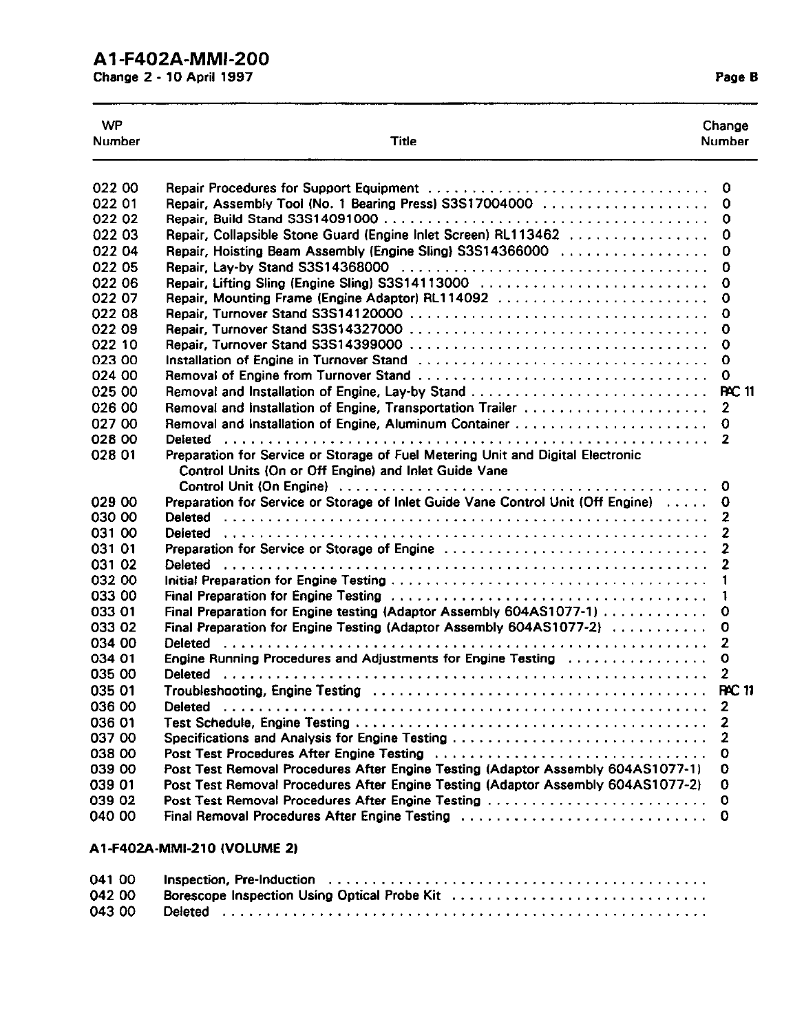## Al -F402A-MMI-200

Change 2 - 10 April 1997 **Page B** 

| <b>WP</b><br><b>Number</b> | Title                                                                                                                                    | Change<br><b>Number</b> |
|----------------------------|------------------------------------------------------------------------------------------------------------------------------------------|-------------------------|
| 022 00                     |                                                                                                                                          | 0                       |
| 022 01                     | Repair, Assembly Tool (No. 1 Bearing Press) S3S17004000                                                                                  | 0                       |
| 022 02                     |                                                                                                                                          | 0                       |
| 022 03                     | Repair, Collapsible Stone Guard (Engine Inlet Screen) RL113462                                                                           | 0                       |
| 022 04                     | Repair, Hoisting Beam Assembly (Engine Sling) S3S14366000                                                                                | 0                       |
| 022 05                     |                                                                                                                                          | 0                       |
| 022 06                     | Repair, Lifting Sling (Engine Sling) S3S14113000                                                                                         | 0                       |
| 022 07                     | Repair, Mounting Frame (Engine Adaptor) RL114092                                                                                         | 0                       |
| 022 08                     |                                                                                                                                          | 0                       |
| 022 09                     |                                                                                                                                          | 0                       |
| 022 10                     |                                                                                                                                          | 0                       |
| 023 00                     |                                                                                                                                          | 0                       |
| 024 00                     |                                                                                                                                          | 0                       |
| 025 00                     |                                                                                                                                          | <b>RC 11</b>            |
| 026 00                     | Removal and Installation of Engine, Transportation Trailer                                                                               | $\mathbf{2}$            |
| 027 00                     |                                                                                                                                          | 0                       |
| 028 00                     |                                                                                                                                          | 2                       |
| 028 01                     | Preparation for Service or Storage of Fuel Metering Unit and Digital Electronic<br>Control Units (On or Off Engine) and Inlet Guide Vane |                         |
|                            |                                                                                                                                          | 0                       |
| 029 00                     | Preparation for Service or Storage of Inlet Guide Vane Control Unit (Off Engine)                                                         | 0                       |
| 030 00                     |                                                                                                                                          | 2                       |
| 031 00                     |                                                                                                                                          | 2                       |
| 031 01                     | Preparation for Service or Storage of Engine                                                                                             | 2                       |
| 031 02<br>032 00           |                                                                                                                                          | 2<br>1                  |
| 033 00                     |                                                                                                                                          |                         |
| 033 01                     | Final Preparation for Engine testing (Adaptor Assembly 604AS1077-1)                                                                      | 1                       |
| 033 02                     | Final Preparation for Engine Testing (Adaptor Assembly 604AS1077-2)                                                                      | 0<br>0                  |
| 034 00                     |                                                                                                                                          | 2                       |
| 034 01                     |                                                                                                                                          | O                       |
| 035 00                     |                                                                                                                                          | $\overline{2}$          |
| 035 01                     | Troubleshooting, Engine Testing $\dots\dots\dots\dots\dots\dots\dots\dots\dots\dots\dots\dots\dots\dots\dots\dots$                       | <b>PAC 11</b>           |
| 036 00                     |                                                                                                                                          | $\mathbf{2}$            |
| 036 01                     |                                                                                                                                          |                         |
| 037 00                     |                                                                                                                                          |                         |
| 038 00                     |                                                                                                                                          | 0                       |
| 039 00                     | Post Test Removal Procedures After Engine Testing (Adaptor Assembly 604AS1077-1)                                                         | 0                       |
| 039 01                     | Post Test Removal Procedures After Engine Testing (Adaptor Assembly 604AS1077-2)                                                         | 0                       |
| 039 02                     |                                                                                                                                          | $\mathbf 0$             |
| 040 00                     | Final Removal Procedures After Engine Testing                                                                                            | o                       |
|                            | A1-F402A-MMI-210 (VOLUME 2)                                                                                                              |                         |

| 041 00 |                                              |
|--------|----------------------------------------------|
| 042 00 | Borescope Inspection Using Optical Probe Kit |
| 043 00 |                                              |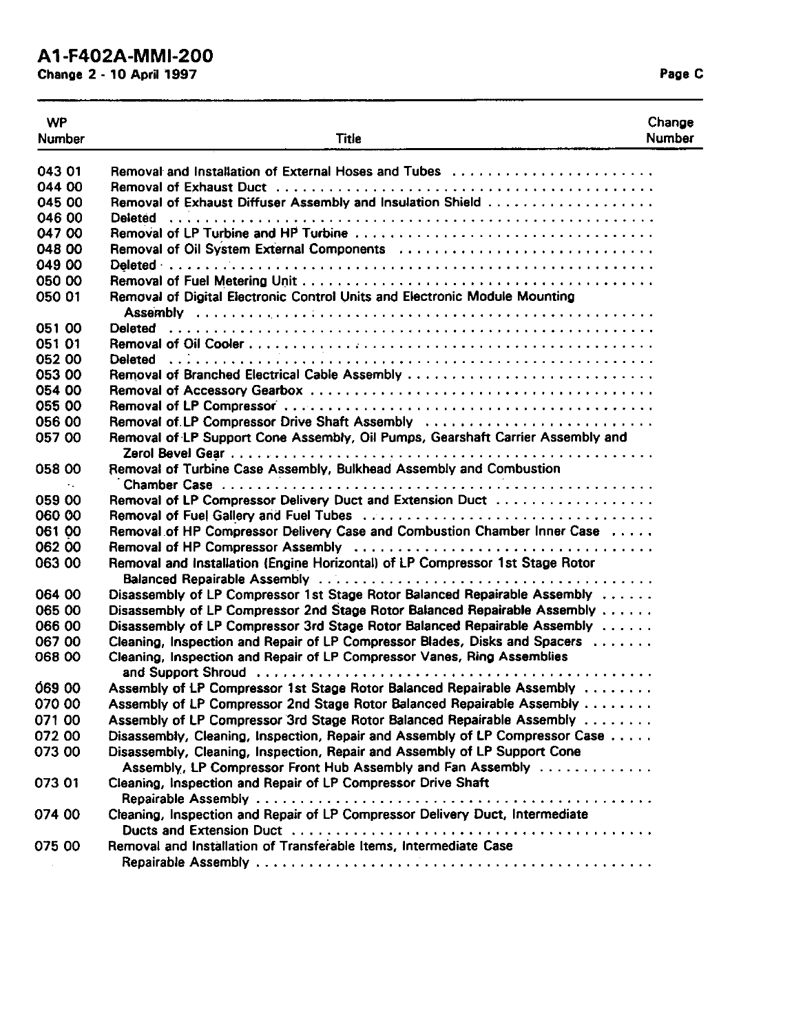# AI -F402A-MMI-200

Change **2** - **10** April **1997** Page C

| <b>WP</b>     |                                                                                                                                                                                                                                | Change |
|---------------|--------------------------------------------------------------------------------------------------------------------------------------------------------------------------------------------------------------------------------|--------|
| <b>Number</b> | <b>Title</b>                                                                                                                                                                                                                   | Number |
|               |                                                                                                                                                                                                                                |        |
| 043 01        | Removal and Installation of External Hoses and Tubes                                                                                                                                                                           |        |
| 044 00        |                                                                                                                                                                                                                                |        |
| 045 00        |                                                                                                                                                                                                                                |        |
| 046 00        |                                                                                                                                                                                                                                |        |
| 047 00        |                                                                                                                                                                                                                                |        |
| 048 00        | Removal of Oil System External Components (all contained all contained all or Removal of Oil System External Components (all contained all or all contained all or all contained all contained all contained all contained all |        |
| 049 00        |                                                                                                                                                                                                                                |        |
| 050 00        |                                                                                                                                                                                                                                |        |
| 050 01        | Removal of Digital Electronic Control Units and Electronic Module Mounting                                                                                                                                                     |        |
|               |                                                                                                                                                                                                                                |        |
| 051 00        |                                                                                                                                                                                                                                |        |
| 051 01        |                                                                                                                                                                                                                                |        |
| 052 00        |                                                                                                                                                                                                                                |        |
| 053 00        |                                                                                                                                                                                                                                |        |
| 054 00        |                                                                                                                                                                                                                                |        |
| 055 00        |                                                                                                                                                                                                                                |        |
| 056 00        | Removal of LP Compressor Drive Shaft Assembly                                                                                                                                                                                  |        |
| 057 00        | Removal of LP Support Cone Assembly, Oil Pumps, Gearshaft Carrier Assembly and                                                                                                                                                 |        |
| 058 00        | Removal of Turbine Case Assembly, Bulkhead Assembly and Combustion                                                                                                                                                             |        |
| $\sim 10$     |                                                                                                                                                                                                                                |        |
| 059 00        | Removal of LP Compressor Delivery Duct and Extension Duct                                                                                                                                                                      |        |
| 060 00        |                                                                                                                                                                                                                                |        |
| 061 00        | Removal of HP Compressor Delivery Case and Combustion Chamber Inner Case                                                                                                                                                       |        |
| 062 00        |                                                                                                                                                                                                                                |        |
| 063 00        | Removal and Installation (Engine Horizontal) of LP Compressor 1st Stage Rotor                                                                                                                                                  |        |
|               |                                                                                                                                                                                                                                |        |
| 064 00        | Disassembly of LP Compressor 1st Stage Rotor Balanced Repairable Assembly                                                                                                                                                      |        |
| 065 00        | Disassembly of LP Compressor 2nd Stage Rotor Balanced Repairable Assembly                                                                                                                                                      |        |
| 066 00        | Disassembly of LP Compressor 3rd Stage Rotor Balanced Repairable Assembly                                                                                                                                                      |        |
| 067 00        | Cleaning, Inspection and Repair of LP Compressor Blades, Disks and Spacers                                                                                                                                                     |        |
| 068 00        | Cleaning, Inspection and Repair of LP Compressor Vanes, Ring Assemblies                                                                                                                                                        |        |
|               |                                                                                                                                                                                                                                |        |
| 069 00        | Assembly of LP Compressor 1st Stage Rotor Balanced Repairable Assembly                                                                                                                                                         |        |
| 070 00        | Assembly of LP Compressor 2nd Stage Rotor Balanced Repairable Assembly                                                                                                                                                         |        |
| 071 00        | Assembly of LP Compressor 3rd Stage Rotor Balanced Repairable Assembly                                                                                                                                                         |        |
| 072 00        | Disassembly, Cleaning, Inspection, Repair and Assembly of LP Compressor Case                                                                                                                                                   |        |
| 073 00        | Disassembly, Cleaning, Inspection, Repair and Assembly of LP Support Cone                                                                                                                                                      |        |
|               | Assembly, LP Compressor Front Hub Assembly and Fan Assembly                                                                                                                                                                    |        |
| 073 01        | Cleaning, Inspection and Repair of LP Compressor Drive Shaft                                                                                                                                                                   |        |
|               |                                                                                                                                                                                                                                |        |
| 074 00        | Cleaning, Inspection and Repair of LP Compressor Delivery Duct, Intermediate                                                                                                                                                   |        |
|               |                                                                                                                                                                                                                                |        |
| 075 00        | Removal and Installation of Transferable Items, Intermediate Case                                                                                                                                                              |        |
|               |                                                                                                                                                                                                                                |        |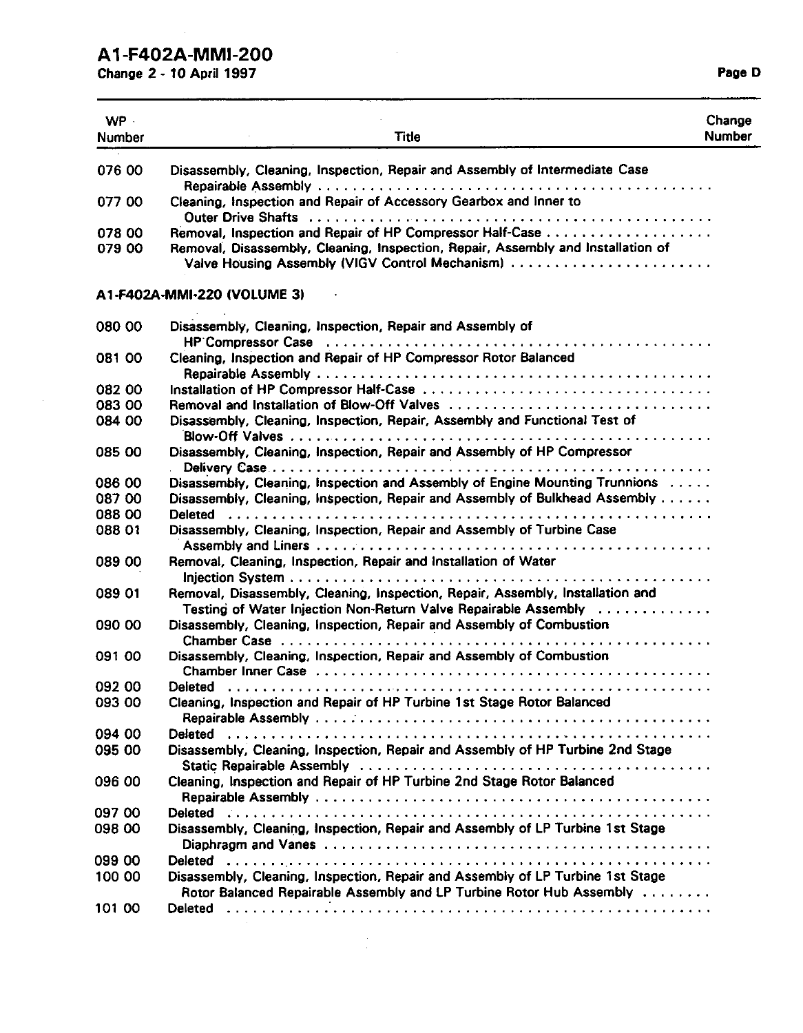# **AI -F402A-MMI-200**

Change **2** - **10** April 1997 Page D

| WP -<br><b>Number</b> | Title                                                                                                                                                                                                                                                                                               | Change<br><b>Number</b> |
|-----------------------|-----------------------------------------------------------------------------------------------------------------------------------------------------------------------------------------------------------------------------------------------------------------------------------------------------|-------------------------|
| 076 00                | Disassembly, Cleaning, Inspection, Repair and Assembly of Intermediate Case                                                                                                                                                                                                                         |                         |
| 077 00                | Cleaning, Inspection and Repair of Accessory Gearbox and Inner to<br>Outer Drive Shafts (all contains and contained all contains and contained all contains and contained all contains and contained all contains and contains a contained all contains and contains a contained all contains a con |                         |
| 078 00<br>079 00      | Removal, Disassembly, Cleaning, Inspection, Repair, Assembly and Installation of<br>Valve Housing Assembly (VIGV Control Mechanism)                                                                                                                                                                 |                         |
|                       | A1-F402A-MMI-220 (VOLUME 3)                                                                                                                                                                                                                                                                         |                         |
| 080 00                | Disassembly, Cleaning, Inspection, Repair and Assembly of                                                                                                                                                                                                                                           |                         |
| 081 00                | Cleaning, Inspection and Repair of HP Compressor Rotor Balanced                                                                                                                                                                                                                                     |                         |
| 082 00                |                                                                                                                                                                                                                                                                                                     |                         |
| 083 00                | Removal and Installation of Blow-Off Valves                                                                                                                                                                                                                                                         |                         |
| 084 00                | Disassembly, Cleaning, Inspection, Repair, Assembly and Functional Test of                                                                                                                                                                                                                          |                         |
| 085 00                | Disassembly, Cleaning, Inspection, Repair and Assembly of HP Compressor                                                                                                                                                                                                                             |                         |
| 086 00                | Disassembly, Cleaning, Inspection and Assembly of Engine Mounting Trunnions                                                                                                                                                                                                                         |                         |
| 087 00                | Disassembly, Cleaning, Inspection, Repair and Assembly of Bulkhead Assembly                                                                                                                                                                                                                         |                         |
| 088 00                |                                                                                                                                                                                                                                                                                                     |                         |
| 088 01                | Disassembly, Cleaning, Inspection, Repair and Assembly of Turbine Case                                                                                                                                                                                                                              |                         |
| 089 00                | Removal, Cleaning, Inspection, Repair and Installation of Water                                                                                                                                                                                                                                     |                         |
| 089 01                | Removal, Disassembly, Cleaning, Inspection, Repair, Assembly, Installation and<br>Testing of Water Injection Non-Return Valve Repairable Assembly                                                                                                                                                   |                         |
| 090 00                | Disassembly, Cleaning, Inspection, Repair and Assembly of Combustion                                                                                                                                                                                                                                |                         |
| 091 00                | Disassembly, Cleaning, Inspection, Repair and Assembly of Combustion                                                                                                                                                                                                                                |                         |
| 092 00                | Chamber Inner Case education of the contract of the contract of the contract of the chamber of the contract of<br><b>Deleted</b>                                                                                                                                                                    |                         |
| 093 00                | Cleaning, Inspection and Repair of HP Turbine 1st Stage Rotor Balanced                                                                                                                                                                                                                              |                         |
| 094 00                |                                                                                                                                                                                                                                                                                                     |                         |
| 095 00                | Disassembly, Cleaning, Inspection, Repair and Assembly of HP Turbine 2nd Stage                                                                                                                                                                                                                      |                         |
| 096 00                | Cleaning, Inspection and Repair of HP Turbine 2nd Stage Rotor Balanced                                                                                                                                                                                                                              |                         |
| 097 00                |                                                                                                                                                                                                                                                                                                     |                         |
| 098 00                | Disassembly, Cleaning, Inspection, Repair and Assembly of LP Turbine 1st Stage                                                                                                                                                                                                                      |                         |
| 099 00                |                                                                                                                                                                                                                                                                                                     |                         |
| 100 00                | Disassembly, Cleaning, Inspection, Repair and Assembly of LP Turbine 1st Stage<br>Rotor Balanced Repairable Assembly and LP Turbine Rotor Hub Assembly                                                                                                                                              |                         |
| 101 00                |                                                                                                                                                                                                                                                                                                     |                         |

 $\frac{1}{2}$ 

 $\sim$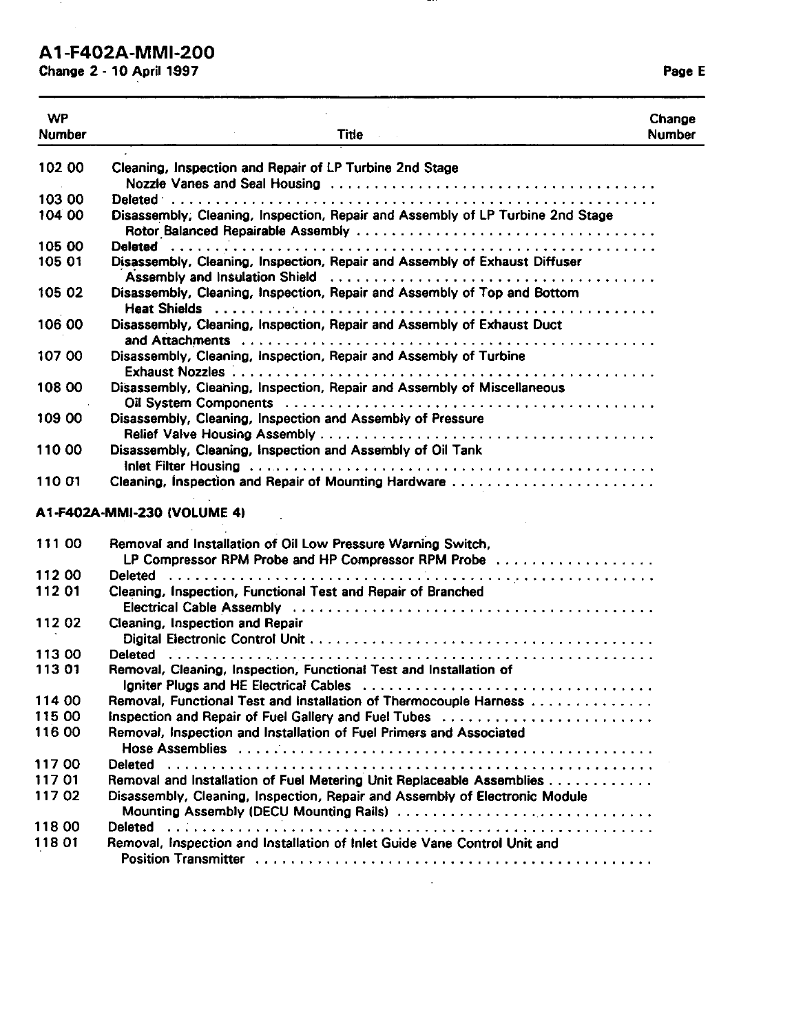#### **A1 -F402A-MMI-200**

**Change 2 - 10 April 1997** Page E

WP Number Title **Change** Number **102** 00 103 00 104 00 105 00 105 01 105 *02*  106 00 107 00 108 00 **109** 00 110 00 110 01 Cleaning, Inspection and Repair of LP Turbine 2nd Stage Nozzle Vanes and Seal Housing ..................................... Daleted- ....................................................... Disassembly, Cleaning, Inspection, Repair and Assembly of LP Turbine 2nd Stage Rotor.Balanced Repairable Assembly .................................. Deleted ........................................................ Disassembly, Cleaning, Inspection, Repair and Assembly of Exhaust Diffuser Disassembly, Cleaning, Inspection, Repair and Assembly of Top and Bottom Heat Shields ................................................... Disassembly, Cleaning, Inspection, Repair and Assembly of Exhaust Duct Disassembly, Cleaning, Inspection, Repair and Assembly **of** Turbine andAnachments ............................................... Exhaust Nozzles 1 ............................................... Disassembly, Cleaning, Inspection, Repair and Assembly of Miscellaneous Oil System Components .......................................... Disassembly, Cleaning, Inspection and Assembly of Pressure Relief Valve Housing Assembly ...................................... Disassembly, Cleaning, Inspection and Assembly of Oil Tank Inlet Filter Housing .............................................. Cleaning, Inspection and Repair of Mounting Hardware ....................... 'Assembly and Insulation Shield ..................................... Al-F402A-MMI-230 **(VOLUME** 4) 111 *00*  112 00 112 01 112 02 113 00 113 01 114 00 115 00 116 00 117 00 117 01 117 02 11800 118 **01**  Removal and Installation of Oil Low Pressure Warning Switch, LP Compressor RPM Probe and HP Compressor RPM Probe .................. Deleted ........................................................ Cleaning, Inspection, Functional Test and Repair of Branched Cleaning, Inspection and Repair Electrical Cable Assembly ......................................... Digital Electronic Control Unit ....................................... Removal, Cleaning, Inspection, Functional Test and Installation of <u>Deleted (Constant Control City)</u> Igniter Plugs and HE Electrical Cables<br>
Removal, Functional Test and Installation of Thermocouple Harness<br>
Inspection and Repair of Fuel Gallery and Fuel Tubes<br>
Removal, Inspection and Installation of Fuel Primers and Asso Hose Assemblies ................................................ Removal and Installation **of** Fuel Metering Unit Replaceable Assemblies neder the community of the Metering Unit Replaceable Assemblies<br>Removal and Installation of Fuel Metering Unit Replaceable Assemblies Disassembly, Cleaning, Inspection, Repair and Assembly of Electronic Module Mounting Assembly (DECU Mounting Rails) .............................. Deleted ....................................................... Removal, Inspection and Installation **of** Inlet Guide Vane Control Unit and Position Transmitter .............................................